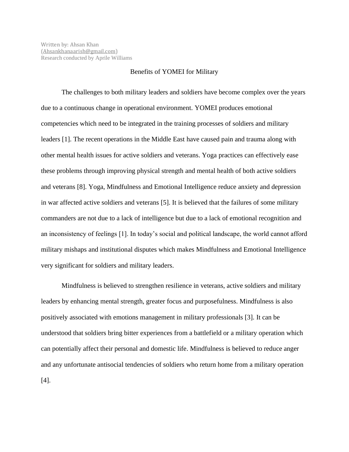## Benefits of YOMEI for Military

The challenges to both military leaders and soldiers have become complex over the years due to a continuous change in operational environment. YOMEI produces emotional competencies which need to be integrated in the training processes of soldiers and military leaders [1]. The recent operations in the Middle East have caused pain and trauma along with other mental health issues for active soldiers and veterans. Yoga practices can effectively ease these problems through improving physical strength and mental health of both active soldiers and veterans [8]. Yoga, Mindfulness and Emotional Intelligence reduce anxiety and depression in war affected active soldiers and veterans [5]. It is believed that the failures of some military commanders are not due to a lack of intelligence but due to a lack of emotional recognition and an inconsistency of feelings [1]. In today's social and political landscape, the world cannot afford military mishaps and institutional disputes which makes Mindfulness and Emotional Intelligence very significant for soldiers and military leaders.

Mindfulness is believed to strengthen resilience in veterans, active soldiers and military leaders by enhancing mental strength, greater focus and purposefulness. Mindfulness is also positively associated with emotions management in military professionals [3]. It can be understood that soldiers bring bitter experiences from a battlefield or a military operation which can potentially affect their personal and domestic life. Mindfulness is believed to reduce anger and any unfortunate antisocial tendencies of soldiers who return home from a military operation [4].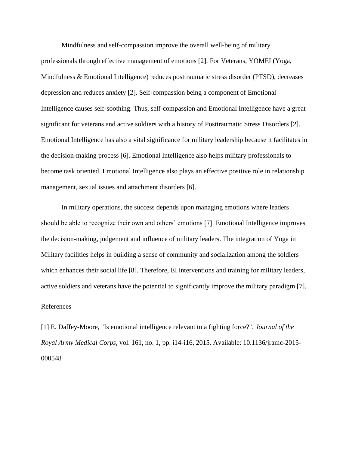Mindfulness and self-compassion improve the overall well-being of military professionals through effective management of emotions [2]. For Veterans, YOMEI (Yoga, Mindfulness & Emotional Intelligence) reduces posttraumatic stress disorder (PTSD), decreases depression and reduces anxiety [2]. Self-compassion being a component of Emotional Intelligence causes self-soothing. Thus, self-compassion and Emotional Intelligence have a great significant for veterans and active soldiers with a history of Posttraumatic Stress Disorders [2]. Emotional Intelligence has also a vital significance for military leadership because it facilitates in the decision-making process [6]. Emotional Intelligence also helps military professionals to become task oriented. Emotional Intelligence also plays an effective positive role in relationship management, sexual issues and attachment disorders [6].

In military operations, the success depends upon managing emotions where leaders should be able to recognize their own and others' emotions [7]. Emotional Intelligence improves the decision-making, judgement and influence of military leaders. The integration of Yoga in Military facilities helps in building a sense of community and socialization among the soldiers which enhances their social life [8]. Therefore, EI interventions and training for military leaders, active soldiers and veterans have the potential to significantly improve the military paradigm [7]. References

[1] E. Daffey-Moore, "Is emotional intelligence relevant to a fighting force?", *Journal of the Royal Army Medical Corps*, vol. 161, no. 1, pp. i14-i16, 2015. Available: 10.1136/jramc-2015- 000548